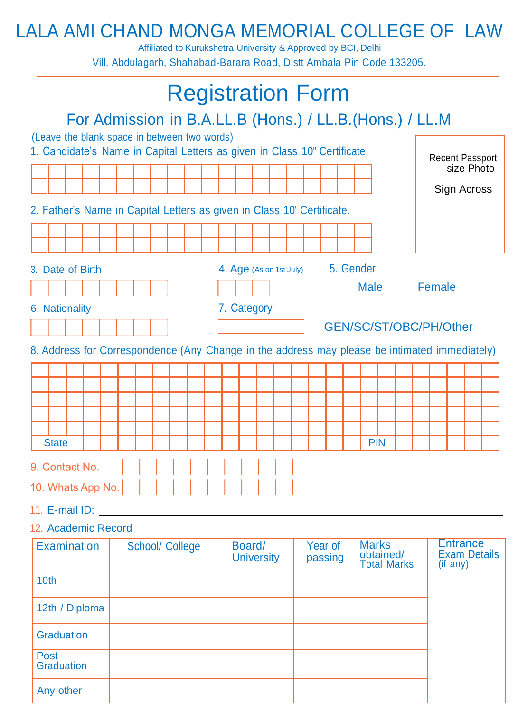## LALA AMI CHAND MONGA MEMORIAL COLLEGE OF LAW

Affiliated to Kurukshetra University & Approved by BCI, Delhi Vill. Abdulagarh, Shahabad-Barara Road, Distt Ambala Pin Code 133205.

| <b>Registration Form</b>                                                                                                  |             |  |  |                             |  |  |  |                    |                         |                        |                                                 |           |             |  |                                                    |  |                           |  |  |  |
|---------------------------------------------------------------------------------------------------------------------------|-------------|--|--|-----------------------------|--|--|--|--------------------|-------------------------|------------------------|-------------------------------------------------|-----------|-------------|--|----------------------------------------------------|--|---------------------------|--|--|--|
| For Admission in B.A.LL.B (Hons.) / LL.B. (Hons.) / LL.M                                                                  |             |  |  |                             |  |  |  |                    |                         |                        |                                                 |           |             |  |                                                    |  |                           |  |  |  |
| (Leave the blank space in between two words)<br>1. Candidate's Name in Capital Letters as given in Class 10" Certificate. |             |  |  |                             |  |  |  |                    |                         | <b>Recent Passport</b> |                                                 |           |             |  |                                                    |  |                           |  |  |  |
|                                                                                                                           |             |  |  |                             |  |  |  |                    |                         |                        |                                                 |           |             |  |                                                    |  | size Photo<br>Sign Across |  |  |  |
| 2. Father's Name in Capital Letters as given in Class 10' Certificate.                                                    |             |  |  |                             |  |  |  |                    |                         |                        |                                                 |           |             |  |                                                    |  |                           |  |  |  |
|                                                                                                                           |             |  |  |                             |  |  |  |                    |                         |                        |                                                 |           |             |  |                                                    |  |                           |  |  |  |
|                                                                                                                           |             |  |  |                             |  |  |  |                    |                         |                        |                                                 |           |             |  |                                                    |  |                           |  |  |  |
| 3. Date of Birth                                                                                                          |             |  |  |                             |  |  |  |                    | 4. Age (As on 1st July) |                        |                                                 | 5. Gender |             |  |                                                    |  |                           |  |  |  |
|                                                                                                                           |             |  |  |                             |  |  |  |                    |                         |                        |                                                 |           | <b>Male</b> |  |                                                    |  | Female                    |  |  |  |
| 6. Nationality                                                                                                            | 7. Category |  |  |                             |  |  |  |                    |                         |                        |                                                 |           |             |  |                                                    |  |                           |  |  |  |
|                                                                                                                           |             |  |  |                             |  |  |  |                    |                         |                        |                                                 |           |             |  |                                                    |  | GEN/SC/ST/OBC/PH/Other    |  |  |  |
| 8. Address for Correspondence (Any Change in the address may please be intimated immediately)                             |             |  |  |                             |  |  |  |                    |                         |                        |                                                 |           |             |  |                                                    |  |                           |  |  |  |
|                                                                                                                           |             |  |  |                             |  |  |  |                    |                         |                        |                                                 |           |             |  |                                                    |  |                           |  |  |  |
|                                                                                                                           |             |  |  |                             |  |  |  |                    |                         |                        |                                                 |           |             |  |                                                    |  |                           |  |  |  |
|                                                                                                                           |             |  |  |                             |  |  |  |                    |                         |                        |                                                 |           |             |  |                                                    |  |                           |  |  |  |
| <b>State</b>                                                                                                              |             |  |  |                             |  |  |  |                    |                         |                        |                                                 |           | <b>PIN</b>  |  |                                                    |  |                           |  |  |  |
|                                                                                                                           |             |  |  |                             |  |  |  |                    |                         |                        |                                                 |           |             |  |                                                    |  |                           |  |  |  |
| 9. Contact No.                                                                                                            |             |  |  |                             |  |  |  |                    |                         |                        |                                                 |           |             |  |                                                    |  |                           |  |  |  |
|                                                                                                                           |             |  |  |                             |  |  |  |                    |                         |                        |                                                 |           |             |  |                                                    |  |                           |  |  |  |
| 11. E-mail $ID:$                                                                                                          |             |  |  |                             |  |  |  |                    |                         |                        |                                                 |           |             |  |                                                    |  |                           |  |  |  |
| 12. Academic Record                                                                                                       |             |  |  |                             |  |  |  |                    |                         |                        |                                                 |           |             |  |                                                    |  |                           |  |  |  |
| <b>Examination</b><br><b>School/ College</b>                                                                              |             |  |  | Board/<br><b>University</b> |  |  |  | Year of<br>passing |                         |                        | <b>Marks</b><br>obtained/<br><b>Total Marks</b> |           |             |  | <b>Entrance</b><br><b>Exam Details</b><br>(if any) |  |                           |  |  |  |
| 10th                                                                                                                      |             |  |  |                             |  |  |  |                    |                         |                        |                                                 |           |             |  |                                                    |  |                           |  |  |  |
| 12th / Diploma                                                                                                            |             |  |  |                             |  |  |  |                    |                         |                        |                                                 |           |             |  |                                                    |  |                           |  |  |  |
| <b>Graduation</b>                                                                                                         |             |  |  |                             |  |  |  |                    |                         |                        |                                                 |           |             |  |                                                    |  |                           |  |  |  |
| <b>Post</b><br><b>Graduation</b>                                                                                          |             |  |  |                             |  |  |  |                    |                         |                        |                                                 |           |             |  |                                                    |  |                           |  |  |  |
| Any other                                                                                                                 |             |  |  |                             |  |  |  |                    |                         |                        |                                                 |           |             |  |                                                    |  |                           |  |  |  |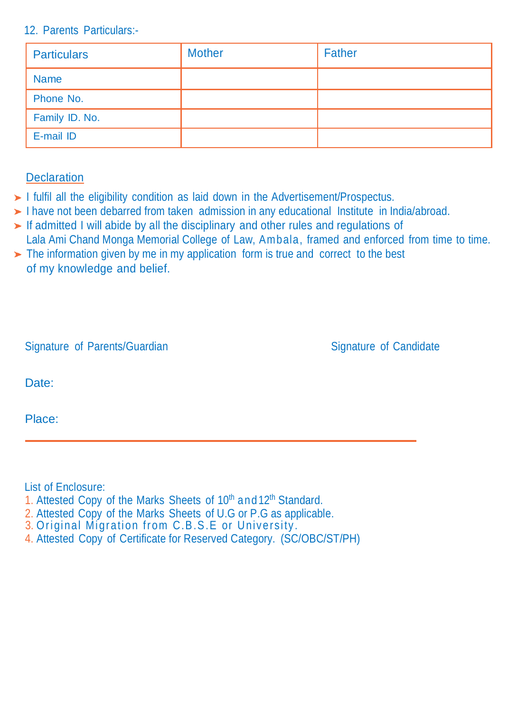## 12. Parents Particulars:-

| <b>Particulars</b> | <b>Mother</b> | <b>Father</b> |
|--------------------|---------------|---------------|
| <b>Name</b>        |               |               |
| Phone No.          |               |               |
| Family ID. No.     |               |               |
| E-mail ID          |               |               |

## **Declaration**

- $\blacktriangleright$  I fulfil all the eligibility condition as laid down in the Advertisement/Prospectus.
- I have not been debarred from taken admission in any educational Institute in India/abroad.
- If admitted I will abide by all the disciplinary and other rules and regulations of Lala Ami Chand Monga Memorial College of Law, Ambala, framed and enforced from time to time.
- $\triangleright$  The information given by me in my application form is true and correct to the best of my knowledge and belief.

|  |  | Signature of Parents/Guardian |
|--|--|-------------------------------|
|--|--|-------------------------------|

Signature of Candidate

Date:

Place:

List of Enclosure:

- 1. Attested Copy of the Marks Sheets of 10<sup>th</sup> and 12<sup>th</sup> Standard.
- 2. Attested Copy of the Marks Sheets of U.G or P.G as applicable.
- 3. Original Migration from C.B .S .E or University.
- 4. Attested Copy of Certificate for Reserved Category. (SC/OBC/ST/PH)